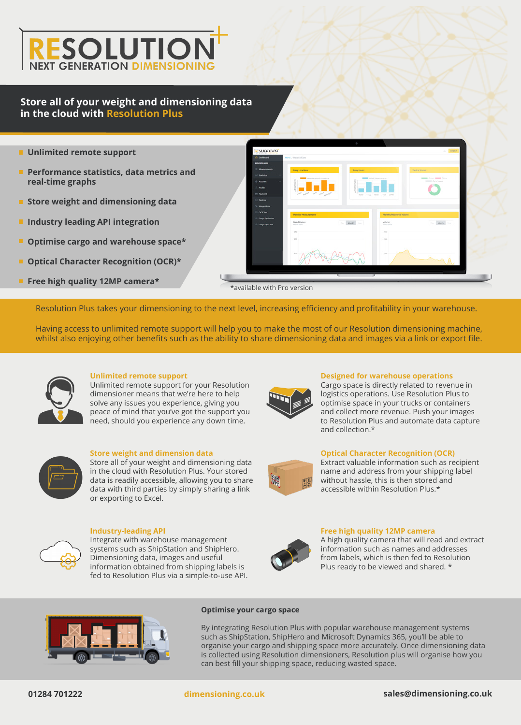

### **Store all of your weight and dimensioning data in the cloud with Resolution Plus**

- **Unlimited remote support**
- **Performance statistics, data metrics and real-time graphs**
- **Store weight and dimensioning data**
- **Industry leading API integration**
- **Optimise cargo and warehouse space\***
- **Optical Character Recognition (OCR)\***
- **Free high quality 12MP camera\***

SOLUTION \*available with Pro version

Resolution Plus takes your dimensioning to the next level, increasing efficiency and profitability in your warehouse.

Having access to unlimited remote support will help you to make the most of our Resolution dimensioning machine, whilst also enjoying other benefits such as the ability to share dimensioning data and images via a link or export file.



#### **Unlimited remote support**

Unlimited remote support for your Resolution dimensioner means that we're here to help solve any issues you experience, giving you peace of mind that you've got the support you need, should you experience any down time.



**Store weight and dimension data**

Store all of your weight and dimensioning data in the cloud with Resolution Plus. Your stored data is readily accessible, allowing you to share data with third parties by simply sharing a link or exporting to Excel.



**Industry-leading API**

Integrate with warehouse management systems such as ShipStation and ShipHero. Dimensioning data, images and useful information obtained from shipping labels is fed to Resolution Plus via a simple-to-use API.



#### **Designed for warehouse operations**

Cargo space is directly related to revenue in logistics operations. Use Resolution Plus to optimise space in your trucks or containers and collect more revenue. Push your images to Resolution Plus and automate data capture and collection.\*



#### **Optical Character Recognition (OCR)**

Extract valuable information such as recipient name and address from your shipping label without hassle, this is then stored and accessible within Resolution Plus.\*



#### **Free high quality 12MP camera**

A high quality camera that will read and extract information such as names and addresses from labels, which is then fed to Resolution Plus ready to be viewed and shared. \*



#### **Optimise your cargo space**

By integrating Resolution Plus with popular warehouse management systems such as ShipStation, ShipHero and Microsoft Dynamics 365, you'll be able to organise your cargo and shipping space more accurately. Once dimensioning data is collected using Resolution dimensioners, Resolution plus will organise how you can best fill your shipping space, reducing wasted space.